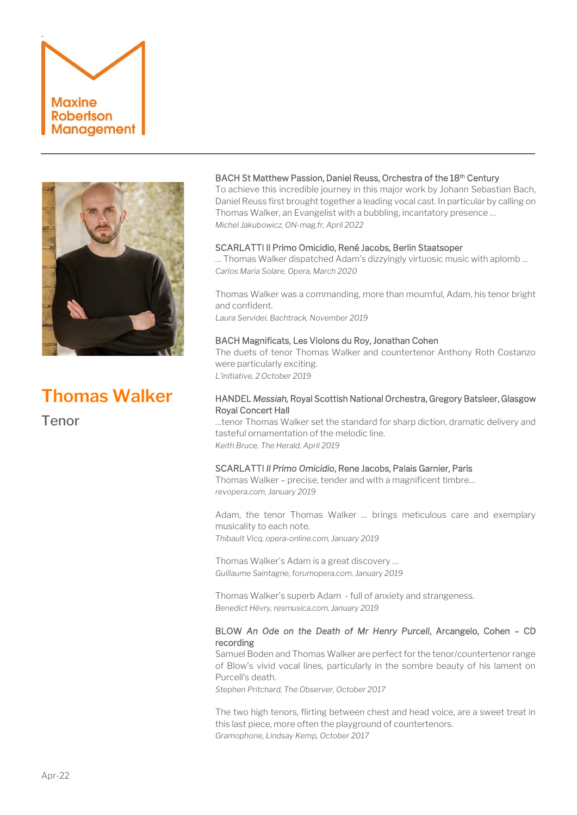



# **Thomas Walker**

Tenor

# BACH St Matthew Passion, Daniel Reuss, Orchestra of the 18<sup>th</sup> Century

To achieve this incredible journey in this major work by Johann Sebastian Bach, Daniel Reuss first brought together a leading vocal cast. In particular by calling on Thomas Walker, an Evangelist with a bubbling, incantatory presence … *Michel Jakubowicz, ON-mag.fr, April 2022*

## SCARLATTI Il Primo Omicidio, René Jacobs, Berlin Staatsoper

… Thomas Walker dispatched Adam's dizzyingly virtuosic music with aplomb … *Carlos Maria Solare, Opera, March 2020*

Thomas Walker was a commanding, more than mournful, Adam, his tenor bright and confident.

*Laura Servidei, Bachtrack, November 2019* 

## BACH Magnificats, Les Violons du Roy, Jonathan Cohen

The duets of tenor Thomas Walker and countertenor Anthony Roth Costanzo were particularly exciting. *L'initiative, 2 October 2019* 

# HANDEL *Messiah,* Royal Scottish National Orchestra, Gregory Batsleer, Glasgow Royal Concert Hall

…tenor Thomas Walker set the standard for sharp diction, dramatic delivery and tasteful ornamentation of the melodic line. *Keith Bruce, The Herald, April 2019*

## SCARLATTI *Il Primo Omicidio*, Rene Jacobs, Palais Garnier, Paris

Thomas Walker – precise, tender and with a magnificent timbre… *revopera.com, January 2019*

Adam, the tenor Thomas Walker … brings meticulous care and exemplary musicality to each note. *Thibault Vicq, opera-online.com, January 2019*

Thomas Walker's Adam is a great discovery … *Guillaume Saintagne, forumopera.com, January 2019*

Thomas Walker's superb Adam - full of anxiety and strangeness. *Benedict Hévry, resmusica.com, January 2019*

# BLOW *An Ode on the Death of Mr Henry Purcell*, Arcangelo, Cohen – CD recording

Samuel Boden and Thomas Walker are perfect for the tenor/countertenor range of Blow's vivid vocal lines, particularly in the sombre beauty of his lament on Purcell's death.

*Stephen Pritchard, The Observer, October 2017*

The two high tenors, flirting between chest and head voice, are a sweet treat in this last piece, more often the playground of countertenors. *Gramophone, Lindsay Kemp, October 2017*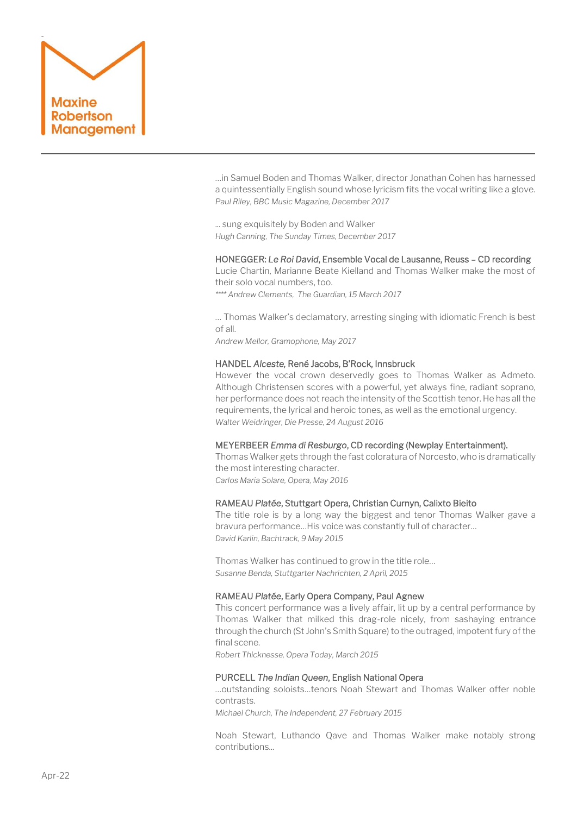

…in Samuel Boden and Thomas Walker, director Jonathan Cohen has harnessed a quintessentially English sound whose lyricism fits the vocal writing like a glove. *Paul Riley, BBC Music Magazine, December 2017*

... sung exquisitely by Boden and Walker *Hugh Canning, The Sunday Times, December 2017*

#### HONEGGER: *Le Roi David*, Ensemble Vocal de Lausanne, Reuss – CD recording

Lucie Chartin, Marianne Beate Kielland and Thomas Walker make the most of their solo vocal numbers, too. *\*\*\*\* Andrew Clements, The Guardian, 15 March 2017*

… Thomas Walker's declamatory, arresting singing with idiomatic French is best of all.

*Andrew Mellor, Gramophone, May 2017*

#### HANDEL *Alceste,* René Jacobs, B'Rock, Innsbruck

However the vocal crown deservedly goes to Thomas Walker as Admeto. Although Christensen scores with a powerful, yet always fine, radiant soprano, her performance does not reach the intensity of the Scottish tenor. He has all the requirements, the lyrical and heroic tones, as well as the emotional urgency. *Walter Weidringer, Die Presse, 24 August 2016*

#### MEYERBEER *Emma di Resburgo*, CD recording (Newplay Entertainment).

Thomas Walker gets through the fast coloratura of Norcesto, who is dramatically the most interesting character.

*Carlos Maria Solare, Opera, May 2016*

#### RAMEAU *Platée*, Stuttgart Opera, Christian Curnyn, Calixto Bieito

The title role is by a long way the biggest and tenor Thomas Walker gave a bravura performance…His voice was constantly full of character… *David Karlin, Bachtrack, 9 May 2015*

Thomas Walker has continued to grow in the title role… *Susanne Benda, Stuttgarter Nachrichten, 2 April, 2015*

#### RAMEAU *Platée*, Early Opera Company, Paul Agnew

This concert performance was a lively affair, lit up by a central performance by Thomas Walker that milked this drag-role nicely, from sashaying entrance through the church (St John's Smith Square) to the outraged, impotent fury of the final scene.

*Robert Thicknesse, Opera Today, March 2015*

#### PURCELL *The Indian Queen*, English National Opera

…outstanding soloists…tenors Noah Stewart and Thomas Walker offer noble contrasts.

*Michael Church, The Independent, 27 February 2015*

Noah Stewart, Luthando Qave and Thomas Walker make notably strong contributions...